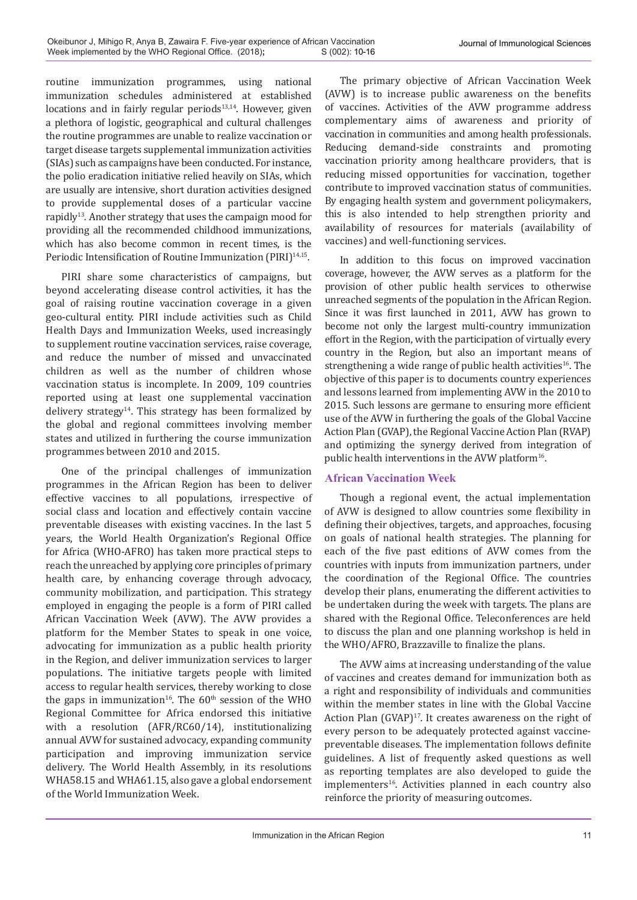routine immunization programmes, using national immunization schedules administered at established locations and in fairly regular periods<sup>13,14</sup>. However, given a plethora of logistic, geographical and cultural challenges the routine programmes are unable to realize vaccination or target disease targets supplemental immunization activities (SIAs) such as campaigns have been conducted. For instance, the polio eradication initiative relied heavily on SIAs, which are usually are intensive, short duration activities designed to provide supplemental doses of a particular vaccine rapidly13. Another strategy that uses the campaign mood for providing all the recommended childhood immunizations, which has also become common in recent times, is the Periodic Intensification of Routine Immunization (PIRI)<sup>14,15</sup>.

PIRI share some characteristics of campaigns, but beyond accelerating disease control activities, it has the goal of raising routine vaccination coverage in a given geo-cultural entity. PIRI include activities such as Child Health Days and Immunization Weeks, used increasingly to supplement routine vaccination services, raise coverage, and reduce the number of missed and unvaccinated children as well as the number of children whose vaccination status is incomplete. In 2009, 109 countries reported using at least one supplemental vaccination delivery strategy<sup>14</sup>. This strategy has been formalized by the global and regional committees involving member states and utilized in furthering the course immunization programmes between 2010 and 2015.

One of the principal challenges of immunization programmes in the African Region has been to deliver effective vaccines to all populations, irrespective of social class and location and effectively contain vaccine preventable diseases with existing vaccines. In the last 5 years, the World Health Organization's Regional Office for Africa (WHO-AFRO) has taken more practical steps to reach the unreached by applying core principles of primary health care, by enhancing coverage through advocacy, community mobilization, and participation. This strategy employed in engaging the people is a form of PIRI called African Vaccination Week (AVW). The AVW provides a platform for the Member States to speak in one voice, advocating for immunization as a public health priority in the Region, and deliver immunization services to larger populations. The initiative targets people with limited access to regular health services, thereby working to close the gaps in immunization<sup>16</sup>. The  $60<sup>th</sup>$  session of the WHO Regional Committee for Africa endorsed this initiative with a resolution (AFR/RC60/14), institutionalizing annual AVW for sustained advocacy, expanding community participation and improving immunization service delivery. The World Health Assembly, in its resolutions WHA58.15 and WHA61.15, also gave a global endorsement of the World Immunization Week.

The primary objective of African Vaccination Week (AVW) is to increase public awareness on the benefits of vaccines. Activities of the AVW programme address complementary aims of awareness and priority of vaccination in communities and among health professionals. Reducing demand-side constraints and promoting vaccination priority among healthcare providers, that is reducing missed opportunities for vaccination, together contribute to improved vaccination status of communities. By engaging health system and government policymakers, this is also intended to help strengthen priority and availability of resources for materials (availability of vaccines) and well-functioning services.

In addition to this focus on improved vaccination coverage, however, the AVW serves as a platform for the provision of other public health services to otherwise unreached segments of the population in the African Region. Since it was first launched in 2011, AVW has grown to become not only the largest multi-country immunization effort in the Region, with the participation of virtually every country in the Region, but also an important means of strengthening a wide range of public health activities<sup>16</sup>. The objective of this paper is to documents country experiences and lessons learned from implementing AVW in the 2010 to 2015. Such lessons are germane to ensuring more efficient use of the AVW in furthering the goals of the Global Vaccine Action Plan (GVAP), the Regional Vaccine Action Plan (RVAP) and optimizing the synergy derived from integration of public health interventions in the AVW platform<sup>16</sup>.

# **African Vaccination Week**

Though a regional event, the actual implementation of AVW is designed to allow countries some flexibility in defining their objectives, targets, and approaches, focusing on goals of national health strategies. The planning for each of the five past editions of AVW comes from the countries with inputs from immunization partners, under the coordination of the Regional Office. The countries develop their plans, enumerating the different activities to be undertaken during the week with targets. The plans are shared with the Regional Office. Teleconferences are held to discuss the plan and one planning workshop is held in the WHO/AFRO, Brazzaville to finalize the plans.

The AVW aims at increasing understanding of the value of vaccines and creates demand for immunization both as a right and responsibility of individuals and communities within the member states in line with the Global Vaccine Action Plan (GVAP)<sup>17</sup>. It creates awareness on the right of every person to be adequately protected against vaccinepreventable diseases. The implementation follows definite guidelines. A list of frequently asked questions as well as reporting templates are also developed to guide the implementers<sup>16</sup>. Activities planned in each country also reinforce the priority of measuring outcomes.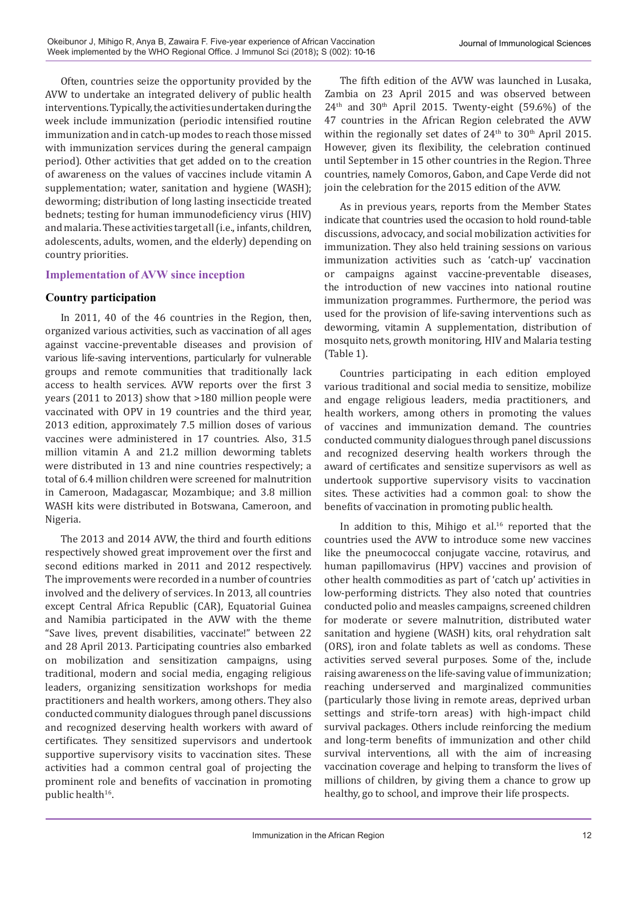Often, countries seize the opportunity provided by the AVW to undertake an integrated delivery of public health interventions. Typically, the activities undertaken during the week include immunization (periodic intensified routine immunization and in catch-up modes to reach those missed with immunization services during the general campaign period). Other activities that get added on to the creation of awareness on the values of vaccines include vitamin A supplementation; water, sanitation and hygiene (WASH); deworming; distribution of long lasting insecticide treated bednets; testing for human immunodeficiency virus (HIV) and malaria. These activities target all (i.e., infants, children, adolescents, adults, women, and the elderly) depending on country priorities.

## **Implementation of AVW since inception**

### **Country participation**

In 2011, 40 of the 46 countries in the Region, then, organized various activities, such as vaccination of all ages against vaccine-preventable diseases and provision of various life-saving interventions, particularly for vulnerable groups and remote communities that traditionally lack access to health services. AVW reports over the first 3 years (2011 to 2013) show that >180 million people were vaccinated with OPV in 19 countries and the third year, 2013 edition, approximately 7.5 million doses of various vaccines were administered in 17 countries. Also, 31.5 million vitamin A and 21.2 million deworming tablets were distributed in 13 and nine countries respectively; a total of 6.4 million children were screened for malnutrition in Cameroon, Madagascar, Mozambique; and 3.8 million WASH kits were distributed in Botswana, Cameroon, and Nigeria.

The 2013 and 2014 AVW, the third and fourth editions respectively showed great improvement over the first and second editions marked in 2011 and 2012 respectively. The improvements were recorded in a number of countries involved and the delivery of services. In 2013, all countries except Central Africa Republic (CAR), Equatorial Guinea and Namibia participated in the AVW with the theme "Save lives, prevent disabilities, vaccinate!" between 22 and 28 April 2013. Participating countries also embarked on mobilization and sensitization campaigns, using traditional, modern and social media, engaging religious leaders, organizing sensitization workshops for media practitioners and health workers, among others. They also conducted community dialogues through panel discussions and recognized deserving health workers with award of certificates. They sensitized supervisors and undertook supportive supervisory visits to vaccination sites. These activities had a common central goal of projecting the prominent role and benefits of vaccination in promoting public health<sup>16</sup>.

The fifth edition of the AVW was launched in Lusaka, Zambia on 23 April 2015 and was observed between  $24<sup>th</sup>$  and  $30<sup>th</sup>$  April 2015. Twenty-eight (59.6%) of the 47 countries in the African Region celebrated the AVW within the regionally set dates of 24<sup>th</sup> to 30<sup>th</sup> April 2015. However, given its flexibility, the celebration continued until September in 15 other countries in the Region. Three countries, namely Comoros, Gabon, and Cape Verde did not join the celebration for the 2015 edition of the AVW.

As in previous years, reports from the Member States indicate that countries used the occasion to hold round-table discussions, advocacy, and social mobilization activities for immunization. They also held training sessions on various immunization activities such as 'catch-up' vaccination campaigns against vaccine-preventable diseases, the introduction of new vaccines into national routine immunization programmes. Furthermore, the period was used for the provision of life-saving interventions such as deworming, vitamin A supplementation, distribution of mosquito nets, growth monitoring, HIV and Malaria testing (Table 1).

Countries participating in each edition employed various traditional and social media to sensitize, mobilize and engage religious leaders, media practitioners, and health workers, among others in promoting the values of vaccines and immunization demand. The countries conducted community dialogues through panel discussions and recognized deserving health workers through the award of certificates and sensitize supervisors as well as undertook supportive supervisory visits to vaccination sites. These activities had a common goal: to show the benefits of vaccination in promoting public health.

In addition to this, Mihigo et al.<sup>16</sup> reported that the countries used the AVW to introduce some new vaccines like the pneumococcal conjugate vaccine, rotavirus, and human papillomavirus (HPV) vaccines and provision of other health commodities as part of 'catch up' activities in low-performing districts. They also noted that countries conducted polio and measles campaigns, screened children for moderate or severe malnutrition, distributed water sanitation and hygiene (WASH) kits, oral rehydration salt (ORS), iron and folate tablets as well as condoms. These activities served several purposes. Some of the, include raising awareness on the life-saving value of immunization; reaching underserved and marginalized communities (particularly those living in remote areas, deprived urban settings and strife-torn areas) with high-impact child survival packages. Others include reinforcing the medium and long-term benefits of immunization and other child survival interventions, all with the aim of increasing vaccination coverage and helping to transform the lives of millions of children, by giving them a chance to grow up healthy, go to school, and improve their life prospects.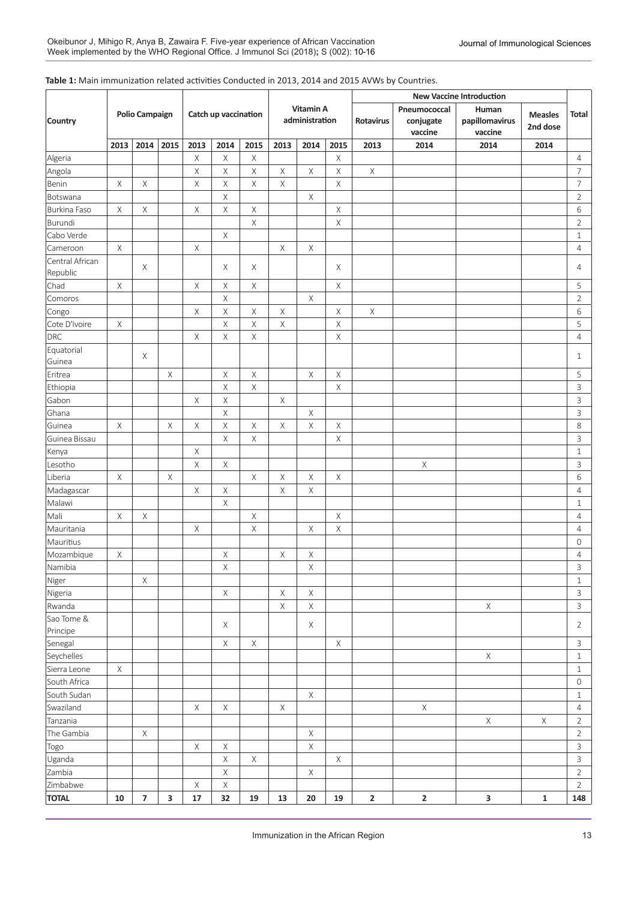#### **Table 1:** Main immunization related activities Conducted in 2013, 2014 and 2015 AVWs by Countries.

|                             |             |                       |                         |                      |             |             |                             |             |             | <b>New Vaccine Introduction</b> |                                      |                                    |                            |                           |  |  |
|-----------------------------|-------------|-----------------------|-------------------------|----------------------|-------------|-------------|-----------------------------|-------------|-------------|---------------------------------|--------------------------------------|------------------------------------|----------------------------|---------------------------|--|--|
| <b>Country</b>              |             | <b>Polio Campaign</b> |                         | Catch up vaccination |             |             | Vitamin A<br>administration |             |             | Rotavirus                       | Pneumococcal<br>conjugate<br>vaccine | Human<br>papillomavirus<br>vaccine | <b>Measles</b><br>2nd dose | Total                     |  |  |
|                             | 2013        | 2014                  | 2015                    | 2013                 | 2014        | 2015        | 2013                        | 2014        | 2015        | 2013                            | 2014                                 | 2014                               | 2014                       |                           |  |  |
| Algeria                     |             |                       |                         | $\mathsf X$          | $\mathsf X$ | $\mathsf X$ |                             |             | X           |                                 |                                      |                                    |                            | 4                         |  |  |
| Angola                      |             |                       |                         | X                    | Χ           | Χ           | $\mathsf X$                 | Χ           | Χ           | $\mathsf X$                     |                                      |                                    |                            | $\overline{\mathcal{I}}$  |  |  |
| Benin                       | $\mathsf X$ | Χ                     |                         | $\mathsf X$          | Χ           | Χ           | Χ                           |             | Χ           |                                 |                                      |                                    |                            | $\overline{7}$            |  |  |
| Botswana                    |             |                       |                         |                      | Χ           |             |                             | Χ           |             |                                 |                                      |                                    |                            | $\overline{2}$            |  |  |
| Burkina Faso                | X           | X                     |                         | $\mathsf X$          | $\mathsf X$ | $\mathsf X$ |                             |             | Χ           |                                 |                                      |                                    |                            | 6                         |  |  |
| Burundi                     |             |                       |                         |                      |             | $\mathsf X$ |                             |             | Χ           |                                 |                                      |                                    |                            | $\overline{2}$            |  |  |
| Cabo Verde                  |             |                       |                         |                      | $\mathsf X$ |             |                             |             |             |                                 |                                      |                                    |                            | $1\,$                     |  |  |
| Cameroon                    | X           |                       |                         | $\mathsf X$          |             |             | $\mathsf X$                 | $\mathsf X$ |             |                                 |                                      |                                    |                            | 4                         |  |  |
| Central African<br>Republic |             | X                     |                         |                      | X           | X           |                             |             | Χ           |                                 |                                      |                                    |                            | $\overline{4}$            |  |  |
| Chad                        | X           |                       |                         | $\times$             | X           | Χ           |                             |             | Χ           |                                 |                                      |                                    |                            | 5                         |  |  |
| Comoros                     |             |                       |                         |                      | $\mathsf X$ |             |                             | Χ           |             |                                 |                                      |                                    |                            | $\overline{2}$            |  |  |
| Congo                       |             |                       |                         | X                    | $\mathsf X$ | Χ           | X                           |             | Χ           | $\mathsf X$                     |                                      |                                    |                            | 6                         |  |  |
| Cote D'Ivoire               | Χ           |                       |                         |                      | $\mathsf X$ | Χ           | Χ                           |             | Χ           |                                 |                                      |                                    |                            | 5                         |  |  |
| DRC                         |             |                       |                         | $\times$             | $\times$    | Χ           |                             |             | Χ           |                                 |                                      |                                    |                            | $\overline{4}$            |  |  |
| Equatorial<br>Guinea        |             | X                     |                         |                      |             |             |                             |             |             |                                 |                                      |                                    |                            | $\mathbf{1}$              |  |  |
| Eritrea                     |             |                       | Χ                       |                      | $\mathsf X$ | $\mathsf X$ |                             | $\mathsf X$ | Χ           |                                 |                                      |                                    |                            | 5                         |  |  |
| Ethiopia                    |             |                       |                         |                      | $\mathsf X$ | $\mathsf X$ |                             |             | Χ           |                                 |                                      |                                    |                            | 3                         |  |  |
| Gabon                       |             |                       |                         | $\times$             | $\mathsf X$ |             | $\mathsf X$                 |             |             |                                 |                                      |                                    |                            | $\ensuremath{\mathsf{3}}$ |  |  |
| Ghana                       |             |                       |                         |                      | $\mathsf X$ |             |                             | Χ           |             |                                 |                                      |                                    |                            | $\ensuremath{\mathsf{3}}$ |  |  |
| Guinea                      | X           |                       | Χ                       | X                    | X           | Χ           | Χ                           | Χ           | Χ           |                                 |                                      |                                    |                            | 8                         |  |  |
| Guinea Bissau               |             |                       |                         |                      | X           | Χ           |                             |             | Χ           |                                 |                                      |                                    |                            | $\ensuremath{\mathsf{3}}$ |  |  |
| Kenya                       |             |                       |                         | $\mathsf X$          |             |             |                             |             |             |                                 |                                      |                                    |                            | $1\,$                     |  |  |
| Lesotho                     |             |                       |                         | $\mathsf X$          | X           |             |                             |             |             |                                 | Χ                                    |                                    |                            | $\ensuremath{\mathsf{3}}$ |  |  |
| Liberia                     | X           |                       | Χ                       |                      |             | Χ           | $\mathsf X$                 | $\mathsf X$ | Χ           |                                 |                                      |                                    |                            | 6                         |  |  |
| Madagascar                  |             |                       |                         | X                    | Χ           |             | Χ                           | Χ           |             |                                 |                                      |                                    |                            | $\overline{4}$            |  |  |
| Malawi                      |             |                       |                         |                      | Χ           |             |                             |             |             |                                 |                                      |                                    |                            | $1\,$                     |  |  |
| Mali                        | X           | Χ                     |                         |                      |             | Χ           |                             |             | Χ           |                                 |                                      |                                    |                            | $\overline{4}$            |  |  |
| Mauritania                  |             |                       |                         | X                    |             | $\mathsf X$ |                             | Χ           | Χ           |                                 |                                      |                                    |                            | $\overline{4}$            |  |  |
| Mauritius                   |             |                       |                         |                      |             |             |                             |             |             |                                 |                                      |                                    |                            | $\mathbf 0$               |  |  |
| Mozambique                  | X           |                       |                         |                      | X           |             | Χ                           | Χ           |             |                                 |                                      |                                    |                            | 4                         |  |  |
| Namibia                     |             |                       |                         |                      | $\mathsf X$ |             |                             | $\mathsf X$ |             |                                 |                                      |                                    |                            | $\mathsf{3}$              |  |  |
| Niger                       |             | X                     |                         |                      |             |             |                             |             |             |                                 |                                      |                                    |                            | $1\,$                     |  |  |
| Nigeria                     |             |                       |                         |                      | X           |             | $\mathsf X$                 | $\mathsf X$ |             |                                 |                                      |                                    |                            | 3                         |  |  |
| Rwanda                      |             |                       |                         |                      |             |             | $\mathsf X$                 | $\mathsf X$ |             |                                 |                                      | X                                  |                            | $\mathbf{3}$              |  |  |
| Sao Tome &                  |             |                       |                         |                      |             |             |                             |             |             |                                 |                                      |                                    |                            |                           |  |  |
| Principe                    |             |                       |                         |                      | $\mathsf X$ |             |                             | $\mathsf X$ |             |                                 |                                      |                                    |                            | $\overline{2}$            |  |  |
| Senegal                     |             |                       |                         |                      | $\mathsf X$ | $\mathsf X$ |                             |             | X           |                                 |                                      |                                    |                            | $\mathsf{3}$              |  |  |
| Seychelles                  |             |                       |                         |                      |             |             |                             |             |             |                                 |                                      | $\mathsf X$                        |                            | $\mathbf{1}$              |  |  |
| Sierra Leone                | $\mathsf X$ |                       |                         |                      |             |             |                             |             |             |                                 |                                      |                                    |                            | $\mathbf{1}$              |  |  |
| South Africa                |             |                       |                         |                      |             |             |                             |             |             |                                 |                                      |                                    |                            | $\mathsf{O}\xspace$       |  |  |
| South Sudan                 |             |                       |                         |                      |             |             |                             | $\times$    |             |                                 |                                      |                                    |                            | $\mathbf{1}$              |  |  |
| Swaziland                   |             |                       |                         | X                    | $\mathsf X$ |             | $\mathsf X$                 |             |             |                                 | $\mathsf X$                          |                                    |                            | $\overline{4}$            |  |  |
| Tanzania                    |             |                       |                         |                      |             |             |                             |             |             |                                 |                                      | $\mathsf X$                        | $\mathsf{X}$               | $\overline{2}$            |  |  |
| The Gambia                  |             | $\mathsf X$           |                         |                      |             |             |                             | $\mathsf X$ |             |                                 |                                      |                                    |                            | $\overline{2}$            |  |  |
| Togo                        |             |                       |                         | $\mathsf X$          | $\mathsf X$ |             |                             | $\mathsf X$ |             |                                 |                                      |                                    |                            | $\mathbf{3}$              |  |  |
| Uganda                      |             |                       |                         |                      | X           | $\mathsf X$ |                             |             | $\mathsf X$ |                                 |                                      |                                    |                            | $\mathbf{3}$              |  |  |
| Zambia                      |             |                       |                         |                      | X           |             |                             | $\mathsf X$ |             |                                 |                                      |                                    |                            | $\overline{2}$            |  |  |
| Zimbabwe                    |             |                       |                         | $\mathsf X$          | X           |             |                             |             |             |                                 |                                      |                                    |                            | $\mathbf{2}$              |  |  |
| <b>TOTAL</b>                | 10          | $\overline{7}$        | $\overline{\mathbf{3}}$ | $17\,$               | 32          | 19          | 13                          | 20          | 19          | $\mathbf{2}$                    | $\mathbf{2}$                         | $\mathbf{3}$                       | $\mathbf 1$                | 148                       |  |  |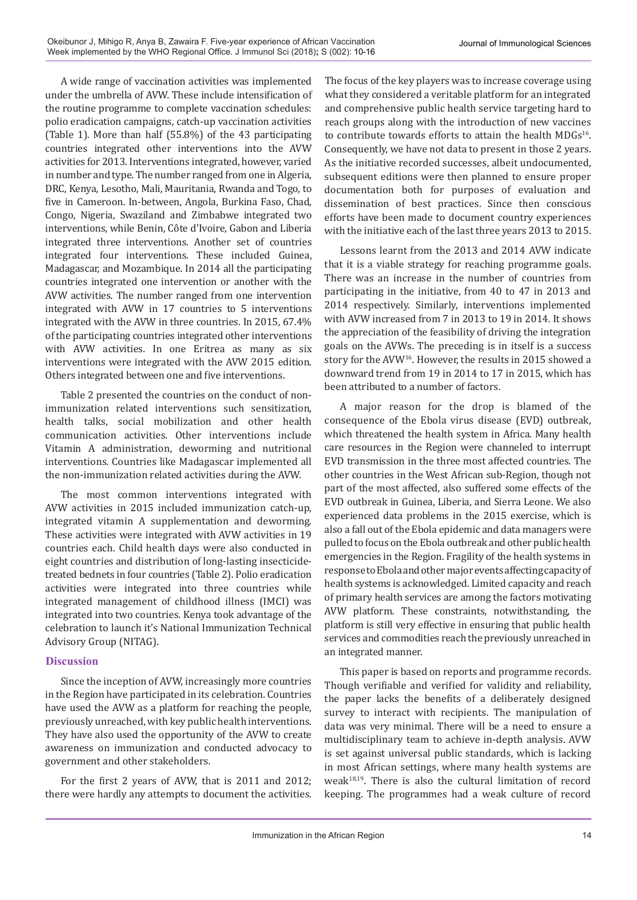A wide range of vaccination activities was implemented under the umbrella of AVW. These include intensification of the routine programme to complete vaccination schedules: polio eradication campaigns, catch-up vaccination activities (Table 1). More than half (55.8%) of the 43 participating countries integrated other interventions into the AVW activities for 2013. Interventions integrated, however, varied in number and type. The number ranged from one in Algeria, DRC, Kenya, Lesotho, Mali, Mauritania, Rwanda and Togo, to five in Cameroon. In-between, Angola, Burkina Faso, Chad, Congo, Nigeria, Swaziland and Zimbabwe integrated two interventions, while Benin, Côte d'Ivoire, Gabon and Liberia integrated three interventions. Another set of countries integrated four interventions. These included Guinea, Madagascar, and Mozambique. In 2014 all the participating countries integrated one intervention or another with the AVW activities. The number ranged from one intervention integrated with AVW in 17 countries to 5 interventions integrated with the AVW in three countries. In 2015, 67.4% of the participating countries integrated other interventions with AVW activities. In one Eritrea as many as six interventions were integrated with the AVW 2015 edition. Others integrated between one and five interventions.

Table 2 presented the countries on the conduct of nonimmunization related interventions such sensitization, health talks, social mobilization and other health communication activities. Other interventions include Vitamin A administration, deworming and nutritional interventions. Countries like Madagascar implemented all the non-immunization related activities during the AVW.

The most common interventions integrated with AVW activities in 2015 included immunization catch-up, integrated vitamin A supplementation and deworming. These activities were integrated with AVW activities in 19 countries each. Child health days were also conducted in eight countries and distribution of long-lasting insecticidetreated bednets in four countries (Table 2). Polio eradication activities were integrated into three countries while integrated management of childhood illness (IMCI) was integrated into two countries. Kenya took advantage of the celebration to launch it's National Immunization Technical Advisory Group (NITAG).

## **Discussion**

Since the inception of AVW, increasingly more countries in the Region have participated in its celebration. Countries have used the AVW as a platform for reaching the people, previously unreached, with key public health interventions. They have also used the opportunity of the AVW to create awareness on immunization and conducted advocacy to government and other stakeholders.

For the first 2 years of AVW, that is 2011 and 2012; there were hardly any attempts to document the activities.

The focus of the key players was to increase coverage using what they considered a veritable platform for an integrated and comprehensive public health service targeting hard to reach groups along with the introduction of new vaccines to contribute towards efforts to attain the health MDGs<sup>16</sup>. Consequently, we have not data to present in those 2 years. As the initiative recorded successes, albeit undocumented, subsequent editions were then planned to ensure proper documentation both for purposes of evaluation and dissemination of best practices. Since then conscious efforts have been made to document country experiences with the initiative each of the last three years 2013 to 2015.

Lessons learnt from the 2013 and 2014 AVW indicate that it is a viable strategy for reaching programme goals. There was an increase in the number of countries from participating in the initiative, from 40 to 47 in 2013 and 2014 respectively. Similarly, interventions implemented with AVW increased from 7 in 2013 to 19 in 2014. It shows the appreciation of the feasibility of driving the integration goals on the AVWs. The preceding is in itself is a success story for the AVW16. However, the results in 2015 showed a downward trend from 19 in 2014 to 17 in 2015, which has been attributed to a number of factors.

A major reason for the drop is blamed of the consequence of the Ebola virus disease (EVD) outbreak, which threatened the health system in Africa. Many health care resources in the Region were channeled to interrupt EVD transmission in the three most affected countries. The other countries in the West African sub-Region, though not part of the most affected, also suffered some effects of the EVD outbreak in Guinea, Liberia, and Sierra Leone. We also experienced data problems in the 2015 exercise, which is also a fall out of the Ebola epidemic and data managers were pulled to focus on the Ebola outbreak and other public health emergencies in the Region. Fragility of the health systems in response to Ebola and other major events affecting capacity of health systems is acknowledged. Limited capacity and reach of primary health services are among the factors motivating AVW platform. These constraints, notwithstanding, the platform is still very effective in ensuring that public health services and commodities reach the previously unreached in an integrated manner.

This paper is based on reports and programme records. Though verifiable and verified for validity and reliability, the paper lacks the benefits of a deliberately designed survey to interact with recipients. The manipulation of data was very minimal. There will be a need to ensure a multidisciplinary team to achieve in-depth analysis. AVW is set against universal public standards, which is lacking in most African settings, where many health systems are weak $18,19$ . There is also the cultural limitation of record keeping. The programmes had a weak culture of record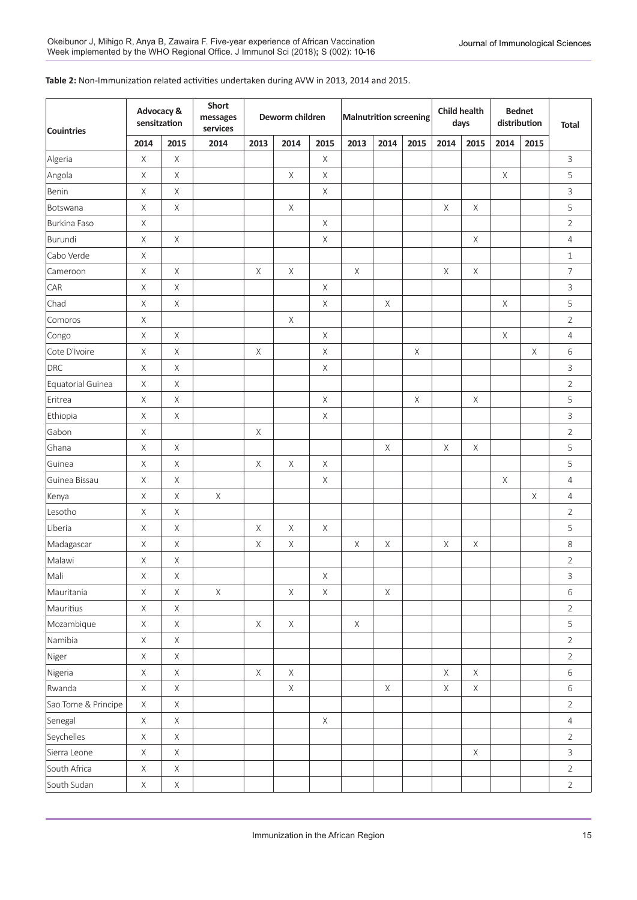### **Table 2:** Non-Immunization related activities undertaken during AVW in 2013, 2014 and 2015.

| <b>Couintries</b>   | Advocacy &<br>sensitzation |             | Short<br>messages<br>services |             | Deworm children |             | <b>Malnutrition screening</b> |             |      | <b>Child health</b><br>days |             | <b>Bednet</b><br>distribution |             | <b>Total</b>    |
|---------------------|----------------------------|-------------|-------------------------------|-------------|-----------------|-------------|-------------------------------|-------------|------|-----------------------------|-------------|-------------------------------|-------------|-----------------|
|                     | 2014                       | 2015        | 2014                          | 2013        | 2014            | 2015        | 2013                          | 2014        | 2015 | 2014                        | 2015        | 2014                          | 2015        |                 |
| Algeria             | $\mathsf X$                | X           |                               |             |                 | $\mathsf X$ |                               |             |      |                             |             |                               |             | 3               |
| Angola              | X                          | X           |                               |             | $\times$        | Χ           |                               |             |      |                             |             | X                             |             | 5               |
| Benin               | $\mathsf X$                | $\times$    |                               |             |                 | $\mathsf X$ |                               |             |      |                             |             |                               |             | 3               |
| Botswana            | X                          | X           |                               |             | $\times$        |             |                               |             |      | X                           | X           |                               |             | 5               |
| Burkina Faso        | $\times$                   |             |                               |             |                 | X           |                               |             |      |                             |             |                               |             | $\overline{2}$  |
| Burundi             | $\times$                   | X           |                               |             |                 | Χ           |                               |             |      |                             | X           |                               |             | $\overline{4}$  |
| Cabo Verde          | $\times$                   |             |                               |             |                 |             |                               |             |      |                             |             |                               |             | $1\,$           |
| Cameroon            | X                          | X           |                               | X           | $\mathsf X$     |             | X                             |             |      | X                           | X           |                               |             | $\overline{7}$  |
| CAR                 | $\mathsf X$                | X           |                               |             |                 | X           |                               |             |      |                             |             |                               |             | 3               |
| Chad                | X                          | X           |                               |             |                 | Χ           |                               | X           |      |                             |             | X                             |             | 5               |
| Comoros             | $\mathsf X$                |             |                               |             | $\times$        |             |                               |             |      |                             |             |                               |             | $\overline{2}$  |
| Congo               | $\times$                   | X           |                               |             |                 | X           |                               |             |      |                             |             | X                             |             | $\overline{4}$  |
| Cote D'Ivoire       | $\mathsf X$                | X           |                               | X           |                 | $\mathsf X$ |                               |             | X    |                             |             |                               | $\mathsf X$ | 6               |
| <b>DRC</b>          | $\mathsf X$                | X           |                               |             |                 | Χ           |                               |             |      |                             |             |                               |             | 3               |
| Equatorial Guinea   | $\mathsf X$                | X           |                               |             |                 |             |                               |             |      |                             |             |                               |             | $\overline{2}$  |
| Eritrea             | $\times$                   | X           |                               |             |                 | Χ           |                               |             | X    |                             | X           |                               |             | 5               |
| Ethiopia            | $\mathsf X$                | $\mathsf X$ |                               |             |                 | $\mathsf X$ |                               |             |      |                             |             |                               |             | 3               |
| Gabon               | $\mathsf X$                |             |                               | X           |                 |             |                               |             |      |                             |             |                               |             | $\overline{2}$  |
| Ghana               | $\mathsf X$                | X           |                               |             |                 |             |                               | $\times$    |      | $\times$                    | $\times$    |                               |             | 5               |
| Guinea              | $\mathsf X$                | X           |                               | $\mathsf X$ | $\times$        | X           |                               |             |      |                             |             |                               |             | 5               |
| Guinea Bissau       | $\mathsf X$                | X           |                               |             |                 | $\mathsf X$ |                               |             |      |                             |             | $\times$                      |             | 4               |
| Kenya               | $\times$                   | X           | $\mathsf X$                   |             |                 |             |                               |             |      |                             |             |                               | $\mathsf X$ | $\overline{4}$  |
| Lesotho             | $\mathsf X$                | X           |                               |             |                 |             |                               |             |      |                             |             |                               |             | $\overline{2}$  |
| Liberia             | $\mathsf X$                | X           |                               | $\mathsf X$ | $\times$        | X           |                               |             |      |                             |             |                               |             | 5               |
| Madagascar          | $\mathsf X$                | Χ           |                               | X           | X               |             | X                             | X           |      | $\times$                    | X           |                               |             | 8               |
| Malawi              | X                          | $\mathsf X$ |                               |             |                 |             |                               |             |      |                             |             |                               |             | $\overline{2}$  |
| Mali                | $\mathsf X$                | $\mathsf X$ |                               |             |                 | $\mathsf X$ |                               |             |      |                             |             |                               |             | 3               |
| Mauritania          | $\mathsf X$                | $\mathsf X$ | $\mathsf X$                   |             | $\mathsf X$     | $\mathsf X$ |                               | $\mathsf X$ |      |                             |             |                               |             | 6               |
| Mauritius           | $\mathsf X$                | $\mathsf X$ |                               |             |                 |             |                               |             |      |                             |             |                               |             | $\overline{2}$  |
| Mozambique          | $\mathsf X$                | $\mathsf X$ |                               | $\mathsf X$ | $\mathsf X$     |             | $\mathsf X$                   |             |      |                             |             |                               |             | 5               |
| Namibia             | $\mathsf X$                | $\mathsf X$ |                               |             |                 |             |                               |             |      |                             |             |                               |             | $\overline{2}$  |
| Niger               | $\mathsf X$                | $\mathsf X$ |                               |             |                 |             |                               |             |      |                             |             |                               |             | $\overline{2}$  |
| Nigeria             | $\mathsf X$                | $\mathsf X$ |                               | $\mathsf X$ | $\mathsf X$     |             |                               |             |      | $\mathsf X$                 | $\mathsf X$ |                               |             | 6               |
| Rwanda              | $\mathsf X$                | $\mathsf X$ |                               |             | $\mathsf X$     |             |                               | X           |      | X                           | X           |                               |             | 6               |
| Sao Tome & Principe | $\mathsf X$                | $\mathsf X$ |                               |             |                 |             |                               |             |      |                             |             |                               |             | $\overline{2}$  |
| Senegal             | $\mathsf X$                | X           |                               |             |                 | $\mathsf X$ |                               |             |      |                             |             |                               |             | $\overline{4}$  |
| Seychelles          | $\mathsf X$                | $\mathsf X$ |                               |             |                 |             |                               |             |      |                             |             |                               |             | $\overline{2}$  |
| Sierra Leone        | $\mathsf X$                | $\mathsf X$ |                               |             |                 |             |                               |             |      |                             | $\mathsf X$ |                               |             | $\overline{3}$  |
| South Africa        | $\mathsf X$                | $\mathsf X$ |                               |             |                 |             |                               |             |      |                             |             |                               |             | $\overline{2}$  |
| South Sudan         | $\mathsf X$                | X           |                               |             |                 |             |                               |             |      |                             |             |                               |             | $2\overline{ }$ |